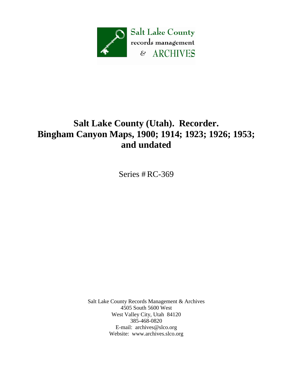

## **Salt Lake County (Utah). Recorder. Bingham Canyon Maps, 1900; 1914; 1923; 1926; 1953; and undated**

Series # RC-369

Salt Lake County Records Management & Archives 4505 South 5600 West West Valley City, Utah 84120 385-468-0820 E-mail: [archives@slco.org](mailto:archives@slco.org) Website: [www.archives.slco.org](http://www.archives.slco.org/)